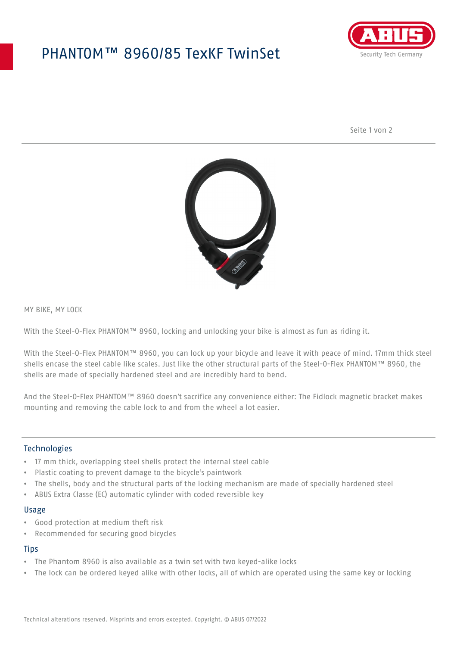# PHANTOM™ 8960/85 TexKF TwinSet



Seite 1 von 2



MY BIKE, MY LOCK

With the Steel-O-Flex PHANTOM™ 8960, locking and unlocking your bike is almost as fun as riding it.

With the Steel-O-Flex PHANTOM™ 8960, you can lock up your bicycle and leave it with peace of mind. 17mm thick steel shells encase the steel cable like scales. Just like the other structural parts of the Steel-O-Flex PHANTOM™ 8960, the shells are made of specially hardened steel and are incredibly hard to bend.

And the Steel-O-Flex PHANTOM™ 8960 doesn't sacrifice any convenience either: The Fidlock magnetic bracket makes mounting and removing the cable lock to and from the wheel a lot easier.

## Technologies

- 17 mm thick, overlapping steel shells protect the internal steel cable
- Plastic coating to prevent damage to the bicycle's paintwork
- The shells, body and the structural parts of the locking mechanism are made of specially hardened steel
- ABUS Extra Classe (EC) automatic cylinder with coded reversible key

#### Usage

- Good protection at medium theft risk
- Recommended for securing good bicycles

### **Tips**

- The Phantom 8960 is also available as a twin set with two keyed-alike locks
- The lock can be ordered keyed alike with other locks, all of which are operated using the same key or locking